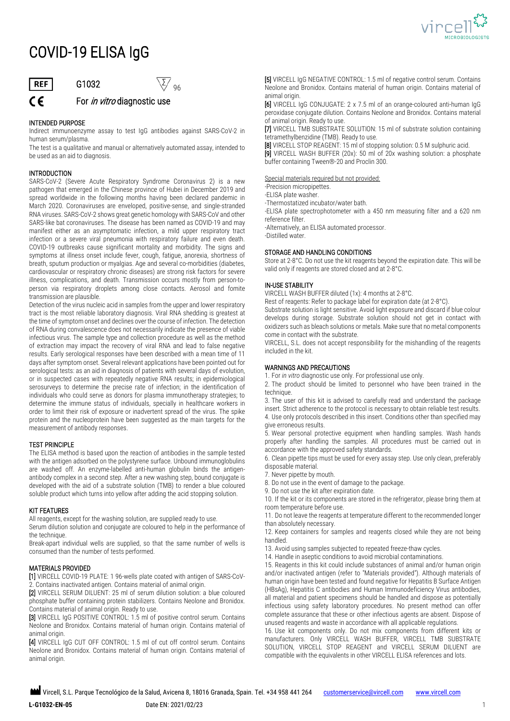

# COVID-19 ELISA IgG



## **G1032**  $\sqrt{2}/96$  $\mathsf{\mathsf{C}}\, \mathsf{\mathsf{F}}$  For *in vitro* diagnostic use

#### INTENDED PURPOSE

Indirect immunoenzyme assay to test IgG antibodies against SARS-CoV-2 in human serum/plasma.

The test is a qualitative and manual or alternatively automated assay, intended to be used as an aid to diagnosis.

#### INTRODUCTION

SARS-CoV-2 (Severe Acute Respiratory Syndrome Coronavirus 2) is a new pathogen that emerged in the Chinese province of Hubei in December 2019 and spread worldwide in the following months having been declared pandemic in March 2020. Coronaviruses are enveloped, positive-sense, and single-stranded RNA viruses. SARS-CoV-2 shows great genetic homology with SARS-CoV and other SARS-like bat coronaviruses. The disease has been named as COVID-19 and may manifest either as an asymptomatic infection, a mild upper respiratory tract infection or a severe viral pneumonia with respiratory failure and even death. COVID-19 outbreaks cause significant mortality and morbidity. The signs and symptoms at illness onset include fever, cough, fatigue, anorexia, shortness of breath, sputum production or myalgias. Age and several co-morbidities (diabetes, cardiovascular or respiratory chronic diseases) are strong risk factors for severe illness, complications, and death. Transmission occurs mostly from person-toperson via respiratory droplets among close contacts. Aerosol and fomite transmission are plausible.

Detection of the virus nucleic acid in samples from the upper and lower respiratory tract is the most reliable laboratory diagnosis. Viral RNA shedding is greatest at the time of symptom onset and declines over the course of infection. The detection of RNA during convalescence does not necessarily indicate the presence of viable infectious virus. The sample type and collection procedure as well as the method of extraction may impact the recovery of viral RNA and lead to false negative results. Early serological responses have been described with a mean time of 11 days after symptom onset. Several relevant applications have been pointed out for serological tests: as an aid in diagnosis of patients with several days of evolution, or in suspected cases with repeatedly negative RNA results; in epidemiological serosurveys to determine the precise rate of infection; in the identification of individuals who could serve as donors for plasma immunotherapy strategies; to determine the immune status of individuals, specially in healthcare workers in order to limit their risk of exposure or inadvertent spread of the virus. The spike protein and the nucleoprotein have been suggested as the main targets for the measurement of antibody responses.

#### TEST PRINCIPLE

The ELISA method is based upon the reaction of antibodies in the sample tested with the antigen adsorbed on the polystyrene surface. Unbound immunoglobulins are washed off. An enzyme-labelled anti-human globulin binds the antigenantibody complex in a second step. After a new washing step, bound conjugate is developed with the aid of a substrate solution (TMB) to render a blue coloured soluble product which turns into yellow after adding the acid stopping solution.

#### KIT FEATURES

All reagents, except for the washing solution, are supplied ready to use. Serum dilution solution and conjugate are coloured to help in the performance of the technique.

Break-apart individual wells are supplied, so that the same number of wells is consumed than the number of tests performed.

#### MATERIALS PROVIDED

[1] VIRCELL COVID-19 PLATE: 1 96-wells plate coated with antigen of SARS-CoV-2. Contains inactivated antigen. Contains material of animal origin.

[2] VIRCELL SERUM DILUENT: 25 ml of serum dilution solution: a blue coloured phosphate buffer containing protein stabilizers. Contains Neolone and Bronidox. Contains material of animal origin. Ready to use.

[3] VIRCELL IgG POSITIVE CONTROL: 1.5 ml of positive control serum. Contains Neolone and Bronidox. Contains material of human origin. Contains material of animal origin.

[4] VIRCELL IgG CUT OFF CONTROL: 1.5 ml of cut off control serum. Contains Neolone and Bronidox. Contains material of human origin. Contains material of animal origin.

[5] VIRCELL IgG NEGATIVE CONTROL: 1.5 ml of negative control serum. Contains Neolone and Bronidox. Contains material of human origin. Contains material of animal origin.

[6] VIRCELL IgG CONJUGATE: 2 x 7.5 ml of an orange-coloured anti-human IgG peroxidase conjugate dilution. Contains Neolone and Bronidox. Contains material of animal origin. Ready to use.

[7] VIRCELL TMB SUBSTRATE SOLUTION: 15 ml of substrate solution containing tetramethylbenzidine (TMB). Ready to use.

[8] VIRCELL STOP REAGENT: 15 ml of stopping solution: 0.5 M sulphuric acid.

[9] VIRCELL WASH BUFFER (20x): 50 ml of 20x washing solution: a phosphate buffer containing Tween®-20 and Proclin 300.

Special materials required but not provided:

-Precision micropipettes.

-ELISA plate washer.

-Thermostatized incubator/water bath.

-ELISA plate spectrophotometer with a 450 nm measuring filter and a 620 nm reference filter.

-Alternatively, an ELISA automated processor.

-Distilled water.

#### STORAGE AND HANDLING CONDITIONS

Store at 2-8°C. Do not use the kit reagents beyond the expiration date. This will be valid only if reagents are stored closed and at 2-8°C.

#### IN-USE STABILITY

VIRCELL WASH BUFFER diluted (1x): 4 months at 2-8°C.

Rest of reagents: Refer to package label for expiration date (at 2-8°C).

Substrate solution is light sensitive. Avoid light exposure and discard if blue colour develops during storage. Substrate solution should not get in contact with oxidizers such as bleach solutions or metals. Make sure that no metal components come in contact with the substrate.

VIRCELL, S.L. does not accept responsibility for the mishandling of the reagents included in the kit.

#### WARNINGS AND PRECAUTIONS

1. For *in vitro* diagnostic use only. For professional use only.

2. The product should be limited to personnel who have been trained in the technique.

3. The user of this kit is advised to carefully read and understand the package insert. Strict adherence to the protocol is necessary to obtain reliable test results. 4. Use only protocols described in this insert. Conditions other than specified may give erroneous results.

5. Wear personal protective equipment when handling samples. Wash hands properly after handling the samples. All procedures must be carried out in accordance with the approved safety standards.

6. Clean pipette tips must be used for every assay step. Use only clean, preferably disposable material.

7. Never pipette by mouth.

8. Do not use in the event of damage to the package.

9. Do not use the kit after expiration date.

10. If the kit or its components are stored in the refrigerator, please bring them at room temperature before use.

11. Do not leave the reagents at temperature different to the recommended longer than absolutely necessary.

12. Keep containers for samples and reagents closed while they are not being handled.

13. Avoid using samples subjected to repeated freeze-thaw cycles.

14. Handle in aseptic conditions to avoid microbial contaminations.

15. Reagents in this kit could include substances of animal and/or human origin and/or inactivated antigen (refer to "Materials provided"). Although materials of human origin have been tested and found negative for Hepatitis B Surface Antigen (HBsAg), Hepatitis C antibodies and Human Immunodeficiency Virus antibodies, all material and patient specimens should be handled and dispose as potentially infectious using safety laboratory procedures. No present method can offer complete assurance that these or other infectious agents are absent. Dispose of unused reagents and waste in accordance with all applicable regulations.

16. Use kit components only. Do not mix components from different kits or manufacturers. Only VIRCELL WASH BUFFER, VIRCELL TMB SUBSTRATE SOLUTION, VIRCELL STOP REAGENT and VIRCELL SERUM DILUENT are compatible with the equivalents in other VIRCELL ELISA references and lots.

**M** Vircell, S.L. Parque Tecnológico de la Salud, Avicena 8, 18016 Granada, Spain. Tel. +34 958 441 264 custom[erservice@vircell.com](mailto:service@vircell.com) [www.vircell.com](http://www.vircell.com/)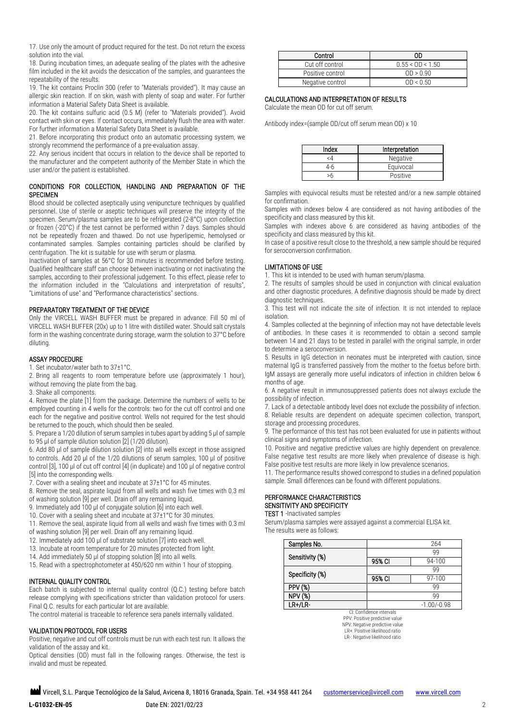17. Use only the amount of product required for the test. Do not return the excess solution into the vial.

18. During incubation times, an adequate sealing of the plates with the adhesive film included in the kit avoids the desiccation of the samples, and guarantees the repeatability of the results.

19. The kit contains Proclin 300 (refer to "Materials provided"). It may cause an allergic skin reaction. If on skin, wash with plenty of soap and water. For further information a Material Safety Data Sheet is available.

20. The kit contains sulfuric acid (0.5 M) (refer to "Materials provided"). Avoid contact with skin or eyes. If contact occurs, immediately flush the area with water. For further information a Material Safety Data Sheet is available.

21. Before incorporating this product onto an automatic processing system, we strongly recommend the performance of a pre-evaluation assay.

22. Any serious incident that occurs in relation to the device shall be reported to the manufacturer and the competent authority of the Member State in which the user and/or the patient is established.

#### CONDITIONS FOR COLLECTION, HANDLING AND PREPARATION OF THE SPECIMEN

Blood should be collected aseptically using venipuncture techniques by qualified personnel. Use of sterile or aseptic techniques will preserve the integrity of the specimen. Serum/plasma samples are to be refrigerated (2-8°C) upon collection or frozen (-20°C) if the test cannot be performed within 7 days. Samples should not be repeatedly frozen and thawed. Do not use hyperlipemic, hemolysed or contaminated samples. Samples containing particles should be clarified by centrifugation. The kit is suitable for use with serum or plasma.

Inactivation of samples at 56°C for 30 minutes is recommended before testing. Qualified healthcare staff can choose between inactivating or not inactivating the samples, according to their professional judgement. To this effect, please refer to the information included in the "Calculations and interpretation of results", "Limitations of use" and "Performance characteristics" sections.

#### PREPARATORY TREATMENT OF THE DEVICE

Only the VIRCELL WASH BUFFER must be prepared in advance. Fill 50 ml of VIRCELL WASH BUFFER (20x) up to 1 litre with distilled water. Should salt crystals form in the washing concentrate during storage, warm the solution to 37°C before diluting.

#### ASSAY PROCEDURE

1. Set incubator/water bath to 37±1°C.

2. Bring all reagents to room temperature before use (approximately 1 hour), without removing the plate from the bag.

3. Shake all components.

4. Remove the plate [1] from the package. Determine the numbers of wells to be employed counting in 4 wells for the controls: two for the cut off control and one each for the negative and positive control. Wells not required for the test should be returned to the pouch, which should then be sealed.

5. Prepare a 1/20 dilution of serum samples in tubes apart by adding 5 μl of sample to 95 μl of sample dilution solution [2] (1/20 dilution).

6. Add 80 μl of sample dilution solution [2] into all wells except in those assigned to controls. Add 20 μl of the 1/20 dilutions of serum samples, 100 μl of positive control [3], 100 μl of cut off control [4] (in duplicate) and 100 μl of negative control [5] into the corresponding wells.

7. Cover with a sealing sheet and incubate at 37±1°C for 45 minutes.

8. Remove the seal, aspirate liquid from all wells and wash five times with 0.3 ml

- of washing solution [9] per well. Drain off any remaining liquid.
- 9. Immediately add 100 µl of conjugate solution [6] into each well.
- 10. Cover with a sealing sheet and incubate at 37±1°C for 30 minutes.

11. Remove the seal, aspirate liquid from all wells and wash five times with 0.3 ml of washing solution [9] per well. Drain off any remaining liquid.

- 12. Immediately add 100 µl of substrate solution [7] into each well.
- 13. Incubate at room temperature for 20 minutes protected from light.
- 14. Add immediately 50 µl of stopping solution [8] into all wells.
- 15. Read with a spectrophotometer at 450/620 nm within 1 hour of stopping.

#### INTERNAL QUALITY CONTROL

Each batch is subjected to internal quality control (Q.C.) testing before batch release complying with specifications stricter than validation protocol for users. Final Q.C. results for each particular lot are available.

The control material is traceable to reference sera panels internally validated.

#### VALIDATION PROTOCOL FOR USERS

Positive, negative and cut off controls must be run with each test run. It allows the validation of the assay and kit.

Optical densities (OD) must fall in the following ranges. Otherwise, the test is invalid and must be repeated.

| Control          | 0D.                |
|------------------|--------------------|
| Cut off control  | $0.55 <$ OD < 1.50 |
| Positive control | OD > 0.90          |
| Negative control | OD < 0.50          |

#### CALCULATIONS AND INTERPRETATION OF RESULTS

Calculate the mean OD for cut off serum.

Antibody index=(sample OD/cut off serum mean OD) x 10

| Index | Interpretation |
|-------|----------------|
| <4    | Negative       |
| 4-6   | Equivocal      |
| >h    | Positive       |

Samples with equivocal results must be retested and/or a new sample obtained for confirmation.

Samples with indexes below 4 are considered as not having antibodies of the specificity and class measured by this kit.

Samples with indexes above 6 are considered as having antibodies of the specificity and class measured by this kit.

In case of a positive result close to the threshold, a new sample should be required for seroconversion confirmation.

#### LIMITATIONS OF USE

1. This kit is intended to be used with human serum/plasma.

2. The results of samples should be used in conjunction with clinical evaluation and other diagnostic procedures. A definitive diagnosis should be made by direct diagnostic techniques.

3. This test will not indicate the site of infection. It is not intended to replace isolation.

4. Samples collected at the beginning of infection may not have detectable levels of antibodies. In these cases it is recommended to obtain a second sample between 14 and 21 days to be tested in parallel with the original sample, in order to determine a seroconversion.

5. Results in IgG detection in neonates must be interpreted with caution, since maternal IgG is transferred passively from the mother to the foetus before birth. IgM assays are generally more useful indicators of infection in children below 6 months of age.

6. A negative result in immunosuppressed patients does not always exclude the possibility of infection.

7. Lack of a detectable antibody level does not exclude the possibility of infection. 8. Reliable results are dependent on adequate specimen collection, transport, storage and processing procedures.

9. The performance of this test has not been evaluated for use in patients without clinical signs and symptoms of infection.

10. Positive and negative predictive values are highly dependent on prevalence. False negative test results are more likely when prevalence of disease is high. False positive test results are more likely in low prevalence scenarios.

11. The performance results showed correspond to studies in a defined population sample. Small differences can be found with different populations.

#### PERFORMANCE CHARACTERISTICS SENSITIVITY AND SPECIFICITY

**TEST 1** - Inactivated samples

Serum/plasma samples were assayed against a commercial ELISA kit. The results were as follows:

| Samples No.     |        | 264           |
|-----------------|--------|---------------|
|                 |        | 99            |
| Sensitivity (%) | 95% CI | 94-100        |
|                 |        | 99            |
| Specificity (%) | 95% CI | 97-100        |
| PPV             |        | 99            |
| NP۱             |        | 99            |
| LR+/LR-         |        | $-1.00/-0.98$ |

CI: Confidence intervals PPV: Positive predictive value NPV: Negative predictive value LR+: Positive likelihood ratio LR-: Negative likelihood ratio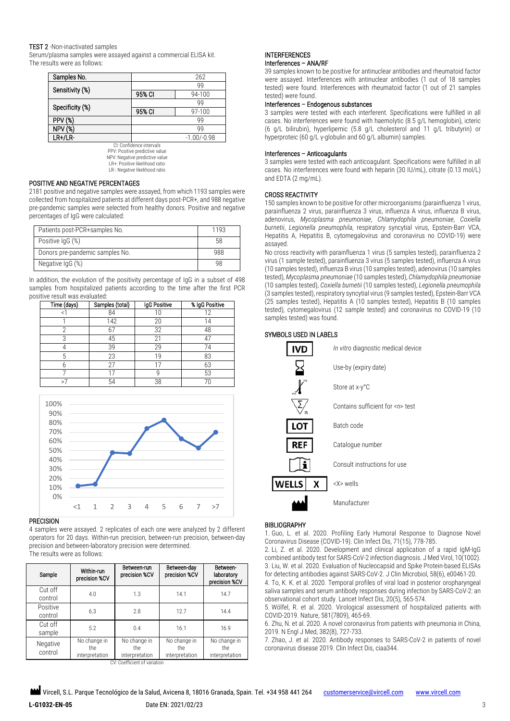#### TEST 2 -Non-inactivated samples

Serum/plasma samples were assayed against a commercial ELISA kit. The results were as follows:

| Samples No.     |        | 262           |
|-----------------|--------|---------------|
| Sensitivity (%) |        | 99            |
|                 | 95% CI | 94-100        |
|                 |        | 99            |
| Specificity (%) | 95% CI | 97-100        |
| <b>PPV (%)</b>  |        | 99            |
| NPV             |        | 99            |
| $LR+/LR-$       |        | $-1.00/-0.98$ |

CI: Confidence intervals PPV: Positive predictive value NPV: Negative predictive value

LR+: Positive likelihood ratio LR-: Negative likelihood ratio

#### POSITIVE AND NEGATIVE PERCENTAGES

2181 positive and negative samples were assayed, from which 1193 samples were collected from hospitalized patients at different days post-PCR+, and 988 negative pre-pandemic samples were selected from healthy donors. Positive and negative percentages of IgG were calculated:

| Patients post-PCR+samples No.   | 1193 |
|---------------------------------|------|
| Positive IgG (%)                | 58   |
| Donors pre-pandemic samples No. | 988  |
| Negative IgG (%)                | 98   |

In addition, the evolution of the positivity percentage of IgG in a subset of 498 samples from hospitalized patients according to the time after the first PCR positive result was evaluated:

| Time (days) | Samples (total) | IgG Positive | % IgG Positive |
|-------------|-----------------|--------------|----------------|
|             | 84              |              |                |
|             | 142             | 20           |                |
|             | 67              | 32           | 48             |
|             | 45              | 21           | 47             |
|             | 39              | 29           |                |
|             | 23              | 19           | 83             |
|             | 27              |              | 63             |
|             |                 |              | 53             |
| $\sim$ 7    | 54              | 38           |                |



4 samples were assayed. 2 replicates of each one were analyzed by 2 different operators for 20 days. Within-run precision, between-run precision, between-day precision and between-laboratory precision were determined. The results were as follows:

| Sample              | Within-run<br>precision %CV           | Between-run<br>precision %CV          | Between-day<br>precision %CV          | Between-<br>laboratory<br>precision %CV |
|---------------------|---------------------------------------|---------------------------------------|---------------------------------------|-----------------------------------------|
| Cut off<br>control  | 4.0                                   | 1.3                                   | 14.1                                  | 14.7                                    |
| Positive<br>control | 6.3                                   | 2.8                                   | 12.7                                  | 14.4                                    |
| Cut off<br>sample   | 5.2                                   | 0.4                                   | 16.1                                  | 16.9                                    |
| Negative<br>control | No change in<br>the<br>interpretation | No change in<br>the<br>interpretation | No change in<br>the<br>interpretation | No change in<br>the<br>interpretation   |

CV: Coefficient of variation

### INTERFERENCES

#### Interferences – ANA/RF

39 samples known to be positive for antinuclear antibodies and rheumatoid factor were assayed. Interferences with antinuclear antibodies (1 out of 18 samples tested) were found. Interferences with rheumatoid factor (1 out of 21 samples tested) were found.

#### Interferences – Endogenous substances

3 samples were tested with each interferent. Specifications were fulfilled in all cases. No interferences were found with haemolytic (8.5 g/L hemoglobin), icteric (6 g/L bilirubin), hyperlipemic (5.8 g/L cholesterol and 11 g/L tributyrin) or hyperproteic (60 g/L γ-globulin and 60 g/L albumin) samples.

#### Interferences – Anticoagulants

3 samples were tested with each anticoagulant. Specifications were fulfilled in all cases. No interferences were found with heparin (30 IU/mL), citrate (0.13 mol/L) and EDTA (2 mg/mL).

#### CROSS REACTIVITY

150 samples known to be positive for other microorganisms (parainfluenza 1 virus, parainfluenza 2 virus, parainfluenza 3 virus, influenza A virus, influenza B virus, adenovirus, *Mycoplasma pneumoniae*, *Chlamydophila pneumoniae*, *Coxiella burnetii*, *Legionella pneumophila*, respiratory syncytial virus, Epstein-Barr VCA, Hepatitis A, Hepatitis B, cytomegalovirus and coronavirus no COVID-19) were assayed.

No cross reactivity with parainfluenza 1 virus (5 samples tested), parainfluenza 2 virus (1 sample tested), parainfluenza 3 virus (5 samples tested), influenza A virus (10 samples tested), influenza B virus (10 samples tested), adenovirus (10 samples tested), *Mycoplasma pneumoniae* (10 samples tested), *Chlamydophila pneumoniae* (10 samples tested), *Coxiella burnetii* (10 samples tested), *Legionella pneumophila* (3 samples tested), respiratory syncytial virus (9 samples tested), Epstein-Barr VCA (25 samples tested), Hepatitis A (10 samples tested), Hepatitis B (10 samples tested), cytomegalovirus (12 sample tested) and coronavirus no COVID-19 (10 samples tested) was found.

#### SYMBOLS USED IN LABELS

| D            | In vitro diagnostic medical device   |
|--------------|--------------------------------------|
|              | Use-by (expiry date)                 |
|              | Store at x-y°C                       |
|              | Contains sufficient for <n> test</n> |
| LOT          | Batch code                           |
| REF          | Catalogue number                     |
|              | Consult instructions for use         |
| <b>WELLS</b> | <x> wells</x>                        |
|              | Manufacturer                         |

#### BIBLIOGRAPHY

1. Guo, L. et al. 2020. Profiling Early Humoral Response to Diagnose Novel Coronavirus Disease (COVID-19). Clin Infect Dis, 71(15), 778-785.

2. Li, Z. et al. 2020. Development and clinical application of a rapid IgM-IgG combined antibody test for SARS-CoV-2 infection diagnosis. J Med Virol, 10(1002). 3. Liu, W. et al. 2020. Evaluation of Nucleocapsid and Spike Protein-based ELISAs for detecting antibodies against SARS-CoV-2. J Clin Microbiol, 58(6), e00461-20.

4. To, K. K. et al. 2020. Temporal profiles of viral load in posterior oropharyngeal saliva samples and serum antibody responses during infection by SARS-CoV-2: an observational cohort study. Lancet Infect Dis, 20(5), 565-574.

5. Wölfel, R. et al. 2020. Virological assessment of hospitalized patients with COVID-2019. Nature, 581(7809), 465-69.

6. Zhu, N. et al. 2020. A novel coronavirus from patients with pneumonia in China, 2019. N Engl J Med, 382(8), 727-733.

7. Zhao, J. et al. 2020. Antibody responses to SARS-CoV-2 in patients of novel coronavirus disease 2019. Clin Infect Dis, ciaa344.